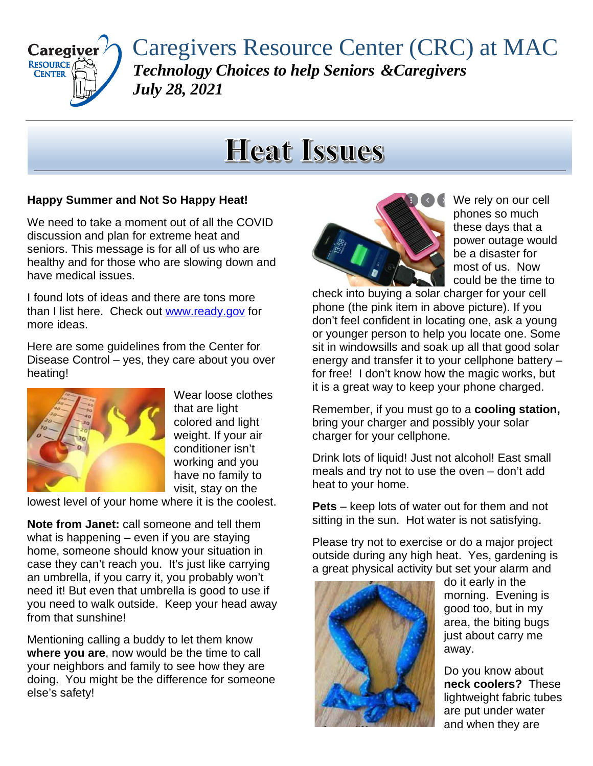

Caregivers Resource Center (CRC) at MAC *Technology Choices to help Seniors &Caregivers July 28, 2021*

# **Heat Issues**

## **Happy Summer and Not So Happy Heat!**

We need to take a moment out of all the COVID discussion and plan for extreme heat and seniors. This message is for all of us who are healthy and for those who are slowing down and have medical issues.

I found lots of ideas and there are tons more than I list here. Check out [www.ready.gov](http://www.ready.gov/) for more ideas.

Here are some guidelines from the Center for Disease Control – yes, they care about you over heating!



Wear loose clothes that are light colored and light weight. If your air conditioner isn't working and you have no family to visit, stay on the

lowest level of your home where it is the coolest.

**Note from Janet:** call someone and tell them what is happening – even if you are staying home, someone should know your situation in case they can't reach you. It's just like carrying an umbrella, if you carry it, you probably won't need it! But even that umbrella is good to use if you need to walk outside. Keep your head away from that sunshine!

Mentioning calling a buddy to let them know **where you are**, now would be the time to call your neighbors and family to see how they are doing. You might be the difference for someone else's safety!



We rely on our cell phones so much these days that a power outage would be a disaster for most of us. Now could be the time to

check into buying a solar charger for your cell phone (the pink item in above picture). If you don't feel confident in locating one, ask a young or younger person to help you locate one. Some sit in windowsills and soak up all that good solar energy and transfer it to your cellphone battery – for free! I don't know how the magic works, but it is a great way to keep your phone charged.

Remember, if you must go to a **cooling station,** bring your charger and possibly your solar charger for your cellphone.

Drink lots of liquid! Just not alcohol! East small meals and try not to use the oven – don't add heat to your home.

**Pets** – keep lots of water out for them and not sitting in the sun. Hot water is not satisfying.

Please try not to exercise or do a major project outside during any high heat. Yes, gardening is a great physical activity but set your alarm and



do it early in the morning. Evening is good too, but in my area, the biting bugs just about carry me away.

Do you know about **neck coolers?** These lightweight fabric tubes are put under water and when they are